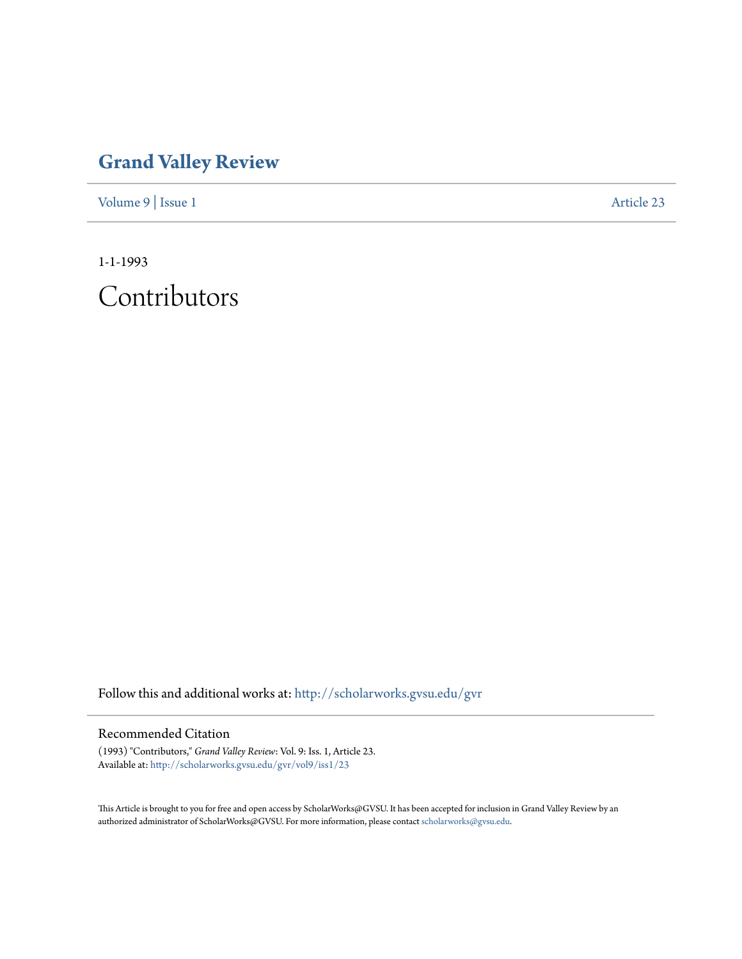## **[Grand Valley Review](http://scholarworks.gvsu.edu/gvr?utm_source=scholarworks.gvsu.edu%2Fgvr%2Fvol9%2Fiss1%2F23&utm_medium=PDF&utm_campaign=PDFCoverPages)**

[Volume 9](http://scholarworks.gvsu.edu/gvr/vol9?utm_source=scholarworks.gvsu.edu%2Fgvr%2Fvol9%2Fiss1%2F23&utm_medium=PDF&utm_campaign=PDFCoverPages) | [Issue 1](http://scholarworks.gvsu.edu/gvr/vol9/iss1?utm_source=scholarworks.gvsu.edu%2Fgvr%2Fvol9%2Fiss1%2F23&utm_medium=PDF&utm_campaign=PDFCoverPages) [Article 23](http://scholarworks.gvsu.edu/gvr/vol9/iss1/23?utm_source=scholarworks.gvsu.edu%2Fgvr%2Fvol9%2Fiss1%2F23&utm_medium=PDF&utm_campaign=PDFCoverPages)

1-1-1993 Contributors

Follow this and additional works at: [http://scholarworks.gvsu.edu/gvr](http://scholarworks.gvsu.edu/gvr?utm_source=scholarworks.gvsu.edu%2Fgvr%2Fvol9%2Fiss1%2F23&utm_medium=PDF&utm_campaign=PDFCoverPages)

## Recommended Citation

(1993) "Contributors," *Grand Valley Review*: Vol. 9: Iss. 1, Article 23. Available at: [http://scholarworks.gvsu.edu/gvr/vol9/iss1/23](http://scholarworks.gvsu.edu/gvr/vol9/iss1/23?utm_source=scholarworks.gvsu.edu%2Fgvr%2Fvol9%2Fiss1%2F23&utm_medium=PDF&utm_campaign=PDFCoverPages)

This Article is brought to you for free and open access by ScholarWorks@GVSU. It has been accepted for inclusion in Grand Valley Review by an authorized administrator of ScholarWorks@GVSU. For more information, please contact [scholarworks@gvsu.edu.](mailto:scholarworks@gvsu.edu)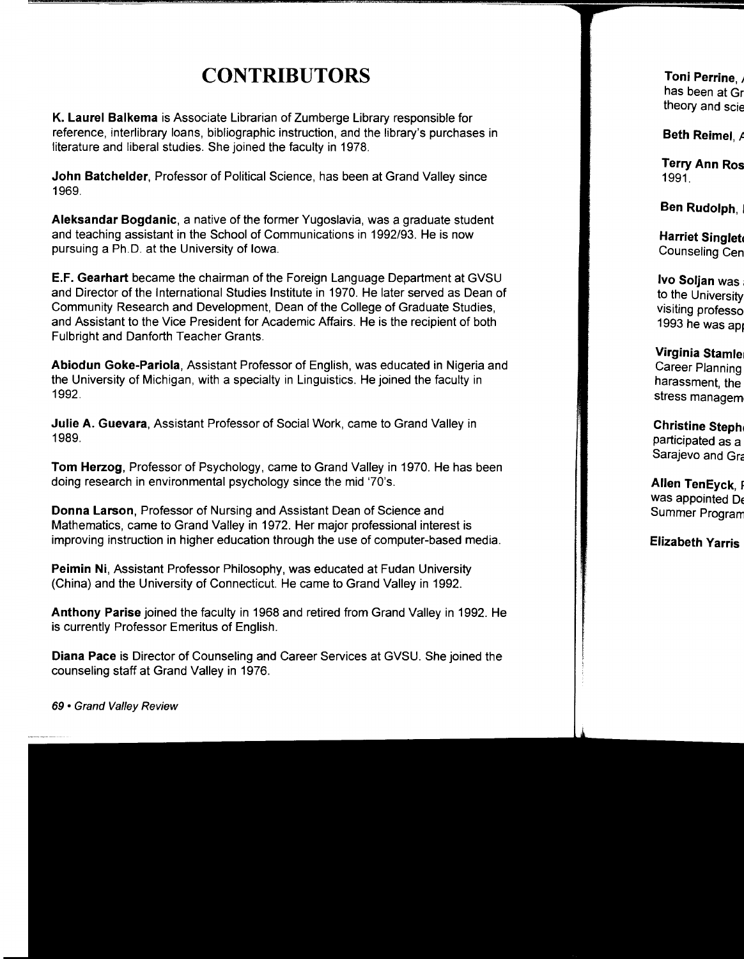## **CONTRIBUTORS**

**K. Laurel Balkema** is Associate Librarian of Zumberge Library responsible for reference, interlibrary loans, bibliographic instruction, and the library's purchases in literature and liberal studies. She joined the faculty in 1978.

**John Batchelder,** Professor of Political Science, has been at Grand Valley since 1969.

**Aleksandar Bogdanic,** a native of the former Yugoslavia, was a graduate student and teaching assistant in the School of Communications in 1992/93. He is now pursuing a Ph.D. at the University of Iowa.

**E.F. Gearhart** became the chairman of the Foreign Language Department at GVSU and Director of the International Studies Institute in 1970. He later served as Dean of Community Research and Development, Dean of the College of Graduate Studies, and Assistant to the Vice President for Academic Affairs. He is the recipient of both Fulbright and Danforth Teacher Grants.

**Abiodun Goke-Pariola,** Assistant Professor of English, was educated in Nigeria and the University of Michigan, with a specialty in Linguistics. He joined the faculty in 1992.

**Julie A. Guevara,** Assistant Professor of Social Work, came to Grand Valley in 1989.

**Tom Herzog,** Professor of Psychology, came to Grand Valley in 1970. He has been doing research in environmental psychology since the mid '70's.

**Donna Larson,** Professor of Nursing and Assistant Dean of Science and Mathematics, came to Grand Valley in 1972. Her major professional interest is improving instruction in higher education through the use of computer-based media.

**Peimin Ni,** Assistant Professor Philosophy, was educated at Fudan University (China) and the University of Connecticut. He came to Grand Valley in 1992.

**Anthony Parise** joined the faculty in 1968 and retired from Grand Valley in 1992. He is currently Professor Emeritus of English.

**Diana Pace** is Director of Counseling and Career Services at GVSU. She joined the counseling staff at Grand Valley in 1976.